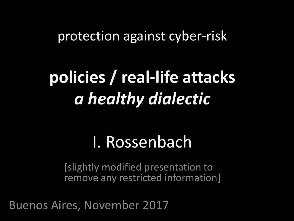#### protection against cyber-risk

# **policies / real-life attacks** *a healthy dialectic*

### I. Rossenbach

[slightly modified presentation to remove any restricted information]

Buenos Aires, November 2017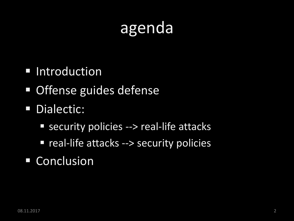## agenda

- **Introduction**
- **Offense guides defense**
- **Dialectic:** 
	- security policies --> real-life attacks
	- **P** real-life attacks --> security policies
- **Conclusion**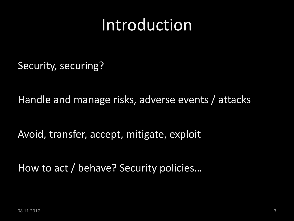## Introduction

Security, securing?

Handle and manage risks, adverse events / attacks

Avoid, transfer, accept, mitigate, exploit

How to act / behave? Security policies…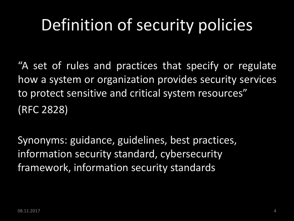# Definition of security policies

"A set of rules and practices that specify or regulate how a system or organization provides security services to protect sensitive and critical system resources" (RFC 2828)

Synonyms: guidance, guidelines, best practices, information security standard, cybersecurity framework, information security standards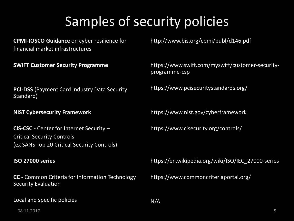#### Samples of security policies

**CPMI-IOSCO Guidance** on cyber resilience for financial market infrastructures

**SWIFT Customer Security Programme**

**PCI-DSS** (Payment Card Industry Data Security Standard)

**NIST Cybersecurity Framework**

**CIS-CSC -** Center for Internet Security – Critical Security Controls (ex SANS Top 20 Critical Security Controls)

#### **ISO 27000 series**

**CC** - Common Criteria for Information Technology Security Evaluation

Local and specific policies

http://www.bis.org/cpmi/publ/d146.pdf

https://www.swift.com/myswift/customer-securityprogramme-csp

https://www.pcisecuritystandards.org/

https://www.nist.gov/cyberframework

https://www.cisecurity.org/controls/

https://en.wikipedia.org/wiki/ISO/IEC\_27000-series

https://www.commoncriteriaportal.org/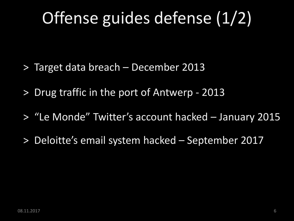# Offense guides defense (1/2)

- > Target data breach December 2013
- > Drug traffic in the port of Antwerp 2013
- > "Le Monde" Twitter's account hacked January 2015
- > Deloitte's email system hacked September 2017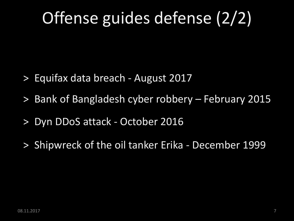# Offense guides defense (2/2)

- > Equifax data breach August 2017
- > Bank of Bangladesh cyber robbery February 2015
- > Dyn DDoS attack October 2016
- > Shipwreck of the oil tanker Erika December 1999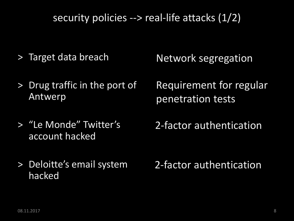security policies --> real-life attacks (1/2)

- > Target data breach
- > Drug traffic in the port of Antwerp
- > "Le Monde" Twitter's account hacked
- > Deloitte's email system hacked

Network segregation

Requirement for regular penetration tests

2-factor authentication

2-factor authentication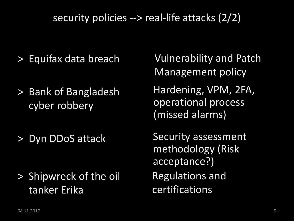#### security policies --> real-life attacks (2/2)

- > Equifax data breach
- > Bank of Bangladesh cyber robbery
- > Dyn DDoS attack

> Shipwreck of the oil tanker Erika

Vulnerability and Patch Management policy

Hardening, VPM, 2FA, operational process (missed alarms)

Security assessment methodology (Risk acceptance?) Regulations and certifications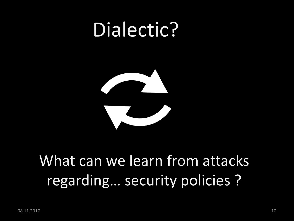# Dialectic?



### What can we learn from attacks regarding… security policies ?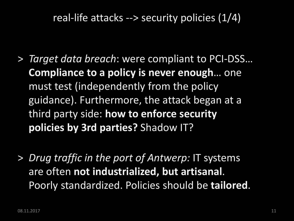real-life attacks --> security policies (1/4)

- > *Target data breach*: were compliant to PCI-DSS… **Compliance to a policy is never enough**… one must test (independently from the policy guidance). Furthermore, the attack began at a third party side: **how to enforce security policies by 3rd parties?** Shadow IT?
- > *Drug traffic in the port of Antwerp:* IT systems are often **not industrialized, but artisanal**. Poorly standardized. Policies should be **tailored**.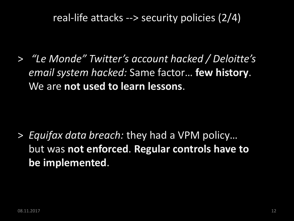real-life attacks --> security policies (2/4)

> *"Le Monde" Twitter's account hacked / Deloitte's email system hacked:* Same factor… **few history**. We are **not used to learn lessons**.

> *Equifax data breach:* they had a VPM policy… but was **not enforced**. **Regular controls have to be implemented**.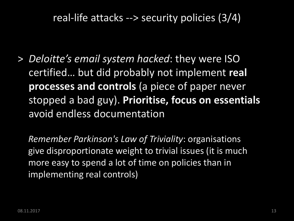real-life attacks --> security policies (3/4)

> *Deloitte's email system hacked*: they were ISO certified… but did probably not implement **real processes and controls** (a piece of paper never stopped a bad guy). **Prioritise, focus on essentials**  avoid endless documentation

*Remember Parkinson's Law of Triviality*: organisations give disproportionate weight to trivial issues (it is much more easy to spend a lot of time on policies than in implementing real controls)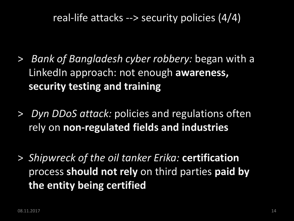real-life attacks --> security policies (4/4)

- > *Bank of Bangladesh cyber robbery:* began with a LinkedIn approach: not enough **awareness, security testing and training**
- > *Dyn DDoS attack:* policies and regulations often rely on **non-regulated fields and industries**
- > *Shipwreck of the oil tanker Erika:* **certification** process **should not rely** on third parties **paid by the entity being certified**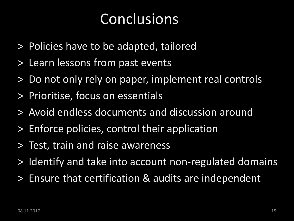#### Conclusions

- > Policies have to be adapted, tailored
- > Learn lessons from past events
- > Do not only rely on paper, implement real controls
- > Prioritise, focus on essentials
- > Avoid endless documents and discussion around
- > Enforce policies, control their application
- > Test, train and raise awareness
- > Identify and take into account non-regulated domains
- > Ensure that certification & audits are independent